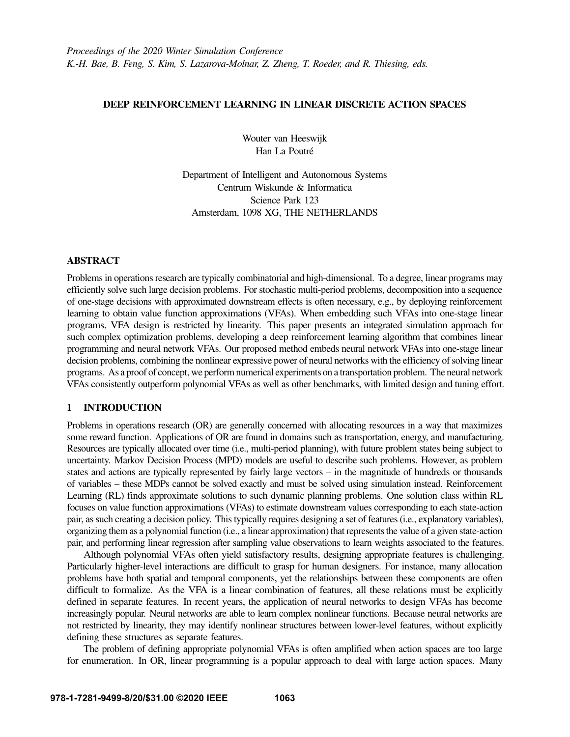# DEEP REINFORCEMENT LEARNING IN LINEAR DISCRETE ACTION SPACES

Wouter van Heeswijk Han La Poutré

Department of Intelligent and Autonomous Systems Centrum Wiskunde & Informatica Science Park 123 Amsterdam, 1098 XG, THE NETHERLANDS

# ABSTRACT

Problems in operations research are typically combinatorial and high-dimensional. To a degree, linear programs may efficiently solve such large decision problems. For stochastic multi-period problems, decomposition into a sequence of one-stage decisions with approximated downstream effects is often necessary, e.g., by deploying reinforcement learning to obtain value function approximations (VFAs). When embedding such VFAs into one-stage linear programs, VFA design is restricted by linearity. This paper presents an integrated simulation approach for such complex optimization problems, developing a deep reinforcement learning algorithm that combines linear programming and neural network VFAs. Our proposed method embeds neural network VFAs into one-stage linear decision problems, combining the nonlinear expressive power of neural networks with the efficiency of solving linear programs. As a proof of concept, we perform numerical experiments on a transportation problem. The neural network VFAs consistently outperform polynomial VFAs as well as other benchmarks, with limited design and tuning effort.

# 1 INTRODUCTION

Problems in operations research (OR) are generally concerned with allocating resources in a way that maximizes some reward function. Applications of OR are found in domains such as transportation, energy, and manufacturing. Resources are typically allocated over time (i.e., multi-period planning), with future problem states being subject to uncertainty. Markov Decision Process (MPD) models are useful to describe such problems. However, as problem states and actions are typically represented by fairly large vectors – in the magnitude of hundreds or thousands of variables – these MDPs cannot be solved exactly and must be solved using simulation instead. Reinforcement Learning (RL) finds approximate solutions to such dynamic planning problems. One solution class within RL focuses on value function approximations (VFAs) to estimate downstream values corresponding to each state-action pair, as such creating a decision policy. This typically requires designing a set of features (i.e., explanatory variables), organizing them as a polynomial function (i.e., a linear approximation) that represents the value of a given state-action pair, and performing linear regression after sampling value observations to learn weights associated to the features.

Although polynomial VFAs often yield satisfactory results, designing appropriate features is challenging. Particularly higher-level interactions are difficult to grasp for human designers. For instance, many allocation problems have both spatial and temporal components, yet the relationships between these components are often difficult to formalize. As the VFA is a linear combination of features, all these relations must be explicitly defined in separate features. In recent years, the application of neural networks to design VFAs has become increasingly popular. Neural networks are able to learn complex nonlinear functions. Because neural networks are not restricted by linearity, they may identify nonlinear structures between lower-level features, without explicitly defining these structures as separate features.

The problem of defining appropriate polynomial VFAs is often amplified when action spaces are too large for enumeration. In OR, linear programming is a popular approach to deal with large action spaces. Many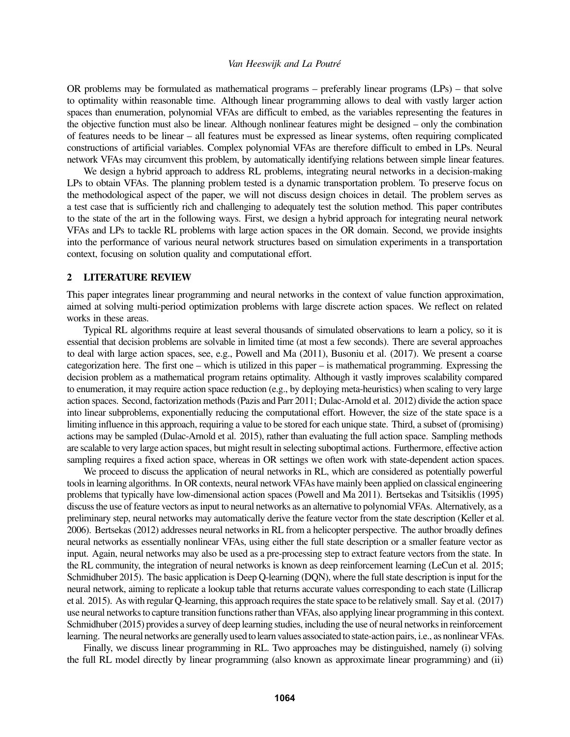OR problems may be formulated as mathematical programs – preferably linear programs (LPs) – that solve to optimality within reasonable time. Although linear programming allows to deal with vastly larger action spaces than enumeration, polynomial VFAs are difficult to embed, as the variables representing the features in the objective function must also be linear. Although nonlinear features might be designed – only the combination of features needs to be linear – all features must be expressed as linear systems, often requiring complicated constructions of artificial variables. Complex polynomial VFAs are therefore difficult to embed in LPs. Neural network VFAs may circumvent this problem, by automatically identifying relations between simple linear features.

We design a hybrid approach to address RL problems, integrating neural networks in a decision-making LPs to obtain VFAs. The planning problem tested is a dynamic transportation problem. To preserve focus on the methodological aspect of the paper, we will not discuss design choices in detail. The problem serves as a test case that is sufficiently rich and challenging to adequately test the solution method. This paper contributes to the state of the art in the following ways. First, we design a hybrid approach for integrating neural network VFAs and LPs to tackle RL problems with large action spaces in the OR domain. Second, we provide insights into the performance of various neural network structures based on simulation experiments in a transportation context, focusing on solution quality and computational effort.

## 2 LITERATURE REVIEW

This paper integrates linear programming and neural networks in the context of value function approximation, aimed at solving multi-period optimization problems with large discrete action spaces. We reflect on related works in these areas.

Typical RL algorithms require at least several thousands of simulated observations to learn a policy, so it is essential that decision problems are solvable in limited time (at most a few seconds). There are several approaches to deal with large action spaces, see, e.g., [Powell and Ma \(2011\),](#page-11-0) [Busoniu et al. \(2017\).](#page-10-0) We present a coarse categorization here. The first one – which is utilized in this paper – is mathematical programming. Expressing the decision problem as a mathematical program retains optimality. Although it vastly improves scalability compared to enumeration, it may require action space reduction (e.g., by deploying meta-heuristics) when scaling to very large action spaces. Second, factorization methods [\(Pazis and Parr 2011;](#page-11-1) [Dulac-Arnold et al. 2012\)](#page-10-1) divide the action space into linear subproblems, exponentially reducing the computational effort. However, the size of the state space is a limiting influence in this approach, requiring a value to be stored for each unique state. Third, a subset of (promising) actions may be sampled [\(Dulac-Arnold et al. 2015\)](#page-11-2), rather than evaluating the full action space. Sampling methods are scalable to very large action spaces, but might result in selecting suboptimal actions. Furthermore, effective action sampling requires a fixed action space, whereas in OR settings we often work with state-dependent action spaces.

We proceed to discuss the application of neural networks in RL, which are considered as potentially powerful tools in learning algorithms. In OR contexts, neural network VFAs have mainly been applied on classical engineering problems that typically have low-dimensional action spaces [\(Powell and Ma 2011\)](#page-11-0). [Bertsekas and Tsitsiklis \(1995\)](#page-10-2) discuss the use of feature vectors as input to neural networks as an alternative to polynomial VFAs. Alternatively, as a preliminary step, neural networks may automatically derive the feature vector from the state description [\(Keller et al.](#page-11-3) [2006\)](#page-11-3). [Bertsekas \(2012\)](#page-10-3) addresses neural networks in RL from a helicopter perspective. The author broadly defines neural networks as essentially nonlinear VFAs, using either the full state description or a smaller feature vector as input. Again, neural networks may also be used as a pre-processing step to extract feature vectors from the state. In the RL community, the integration of neural networks is known as deep reinforcement learning [\(LeCun et al. 2015;](#page-11-4) [Schmidhuber 2015\)](#page-11-5). The basic application is Deep Q-learning (DQN), where the full state description is input for the neural network, aiming to replicate a lookup table that returns accurate values corresponding to each state [\(Lillicrap](#page-11-6) [et al. 2015\)](#page-11-6). As with regular Q-learning, this approach requires the state space to be relatively small. [Say et al. \(2017\)](#page-11-7) use neural networks to capture transition functions rather than VFAs, also applying linear programming in this context. [Schmidhuber \(2015\)](#page-11-5) provides a survey of deep learning studies, including the use of neural networks in reinforcement learning. The neural networks are generally used to learn values associated to state-action pairs, i.e., as nonlinear VFAs.

Finally, we discuss linear programming in RL. Two approaches may be distinguished, namely (i) solving the full RL model directly by linear programming (also known as approximate linear programming) and (ii)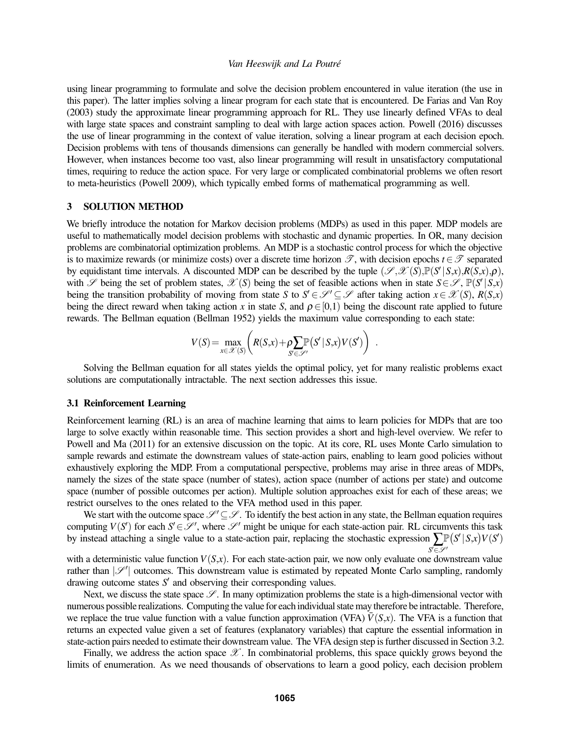using linear programming to formulate and solve the decision problem encountered in value iteration (the use in this paper). The latter implies solving a linear program for each state that is encountered. [De Farias and Van Roy](#page-10-4) [\(2003\)](#page-10-4) study the approximate linear programming approach for RL. They use linearly defined VFAs to deal with large state spaces and constraint sampling to deal with large action spaces action. [Powell \(2016\)](#page-11-8) discusses the use of linear programming in the context of value iteration, solving a linear program at each decision epoch. Decision problems with tens of thousands dimensions can generally be handled with modern commercial solvers. However, when instances become too vast, also linear programming will result in unsatisfactory computational times, requiring to reduce the action space. For very large or complicated combinatorial problems we often resort to meta-heuristics [\(Powell 2009\)](#page-11-9), which typically embed forms of mathematical programming as well.

# 3 SOLUTION METHOD

We briefly introduce the notation for Markov decision problems (MDPs) as used in this paper. MDP models are useful to mathematically model decision problems with stochastic and dynamic properties. In OR, many decision problems are combinatorial optimization problems. An MDP is a stochastic control process for which the objective is to maximize rewards (or minimize costs) over a discrete time horizon  $\mathcal{T}$ , with decision epochs  $t \in \mathcal{T}$  separated by equidistant time intervals. A discounted MDP can be described by the tuple  $(\mathscr{S}, \mathscr{X}(S), \mathbb{P}(S' | S, x), R(S, x), \rho)$ , with  $\mathscr S$  being the set of problem states,  $\mathscr X(S)$  being the set of feasible actions when in state  $S \in \mathscr S$ ,  $\mathbb P(S' | S, x)$ being the transition probability of moving from state *S* to  $S' \in \mathcal{S}' \subseteq \mathcal{S}$  after taking action  $x \in \mathcal{X}(S)$ ,  $R(S,x)$ being the direct reward when taking action *x* in state *S*, and  $\rho \in [0,1)$  being the discount rate applied to future rewards. The Bellman equation [\(Bellman 1952\)](#page-10-5) yields the maximum value corresponding to each state:

$$
V(S) = \max_{x \in \mathcal{X}(S)} \left( R(S,x) + \rho \sum_{S' \in \mathcal{S}'} \mathbb{P}(S' | S,x) V(S') \right) .
$$

Solving the Bellman equation for all states yields the optimal policy, yet for many realistic problems exact solutions are computationally intractable. The next section addresses this issue.

## 3.1 Reinforcement Learning

Reinforcement learning (RL) is an area of machine learning that aims to learn policies for MDPs that are too large to solve exactly within reasonable time. This section provides a short and high-level overview. We refer to [Powell and Ma \(2011\)](#page-11-0) for an extensive discussion on the topic. At its core, RL uses Monte Carlo simulation to sample rewards and estimate the downstream values of state-action pairs, enabling to learn good policies without exhaustively exploring the MDP. From a computational perspective, problems may arise in three areas of MDPs, namely the sizes of the state space (number of states), action space (number of actions per state) and outcome space (number of possible outcomes per action). Multiple solution approaches exist for each of these areas; we restrict ourselves to the ones related to the VFA method used in this paper.

We start with the outcome space  $\mathcal{S}' \subseteq \mathcal{S}$ . To identify the best action in any state, the Bellman equation requires computing  $V(S')$  for each  $S' \in \mathcal{S}'$ , where  $\mathcal{S}'$  might be unique for each state-action pair. RL circumvents this task by instead attaching a single value to a state-action pair, replacing the stochastic expression  $\sum_{n=0}^{\infty} [S' | S,x] V(S')$ S'∈P'

with a deterministic value function  $V(S,x)$ . For each state-action pair, we now only evaluate one downstream value rather than  $|\mathcal{S}'|$  outcomes. This downstream value is estimated by repeated Monte Carlo sampling, randomly drawing outcome states  $S'$  and observing their corresponding values.

Next, we discuss the state space  $\mathscr{S}$ . In many optimization problems the state is a high-dimensional vector with numerous possible realizations. Computing the value for each individual state may therefore be intractable. Therefore, we replace the true value function with a value function approximation (VFA)  $\bar{V}(S,x)$ . The VFA is a function that returns an expected value given a set of features (explanatory variables) that capture the essential information in state-action pairs needed to estimate their downstream value. The VFA design step is further discussed in Section [3.2.](#page-3-0)

Finally, we address the action space  $\mathscr{X}$ . In combinatorial problems, this space quickly grows beyond the limits of enumeration. As we need thousands of observations to learn a good policy, each decision problem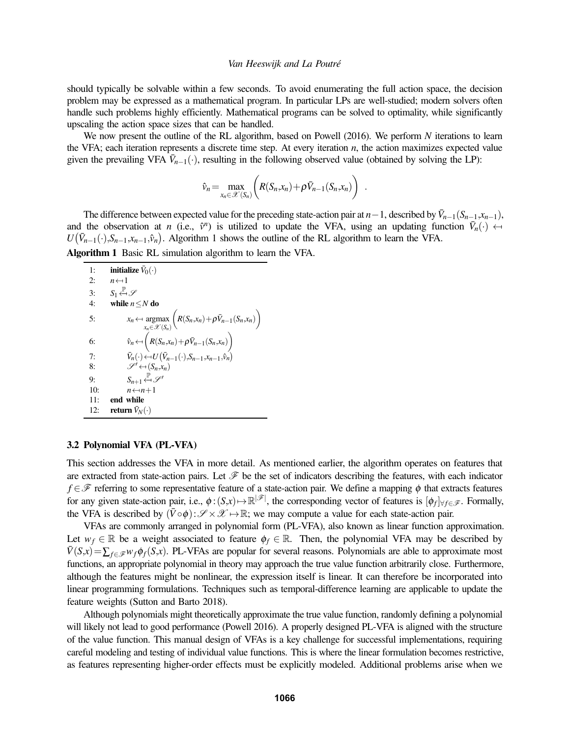should typically be solvable within a few seconds. To avoid enumerating the full action space, the decision problem may be expressed as a mathematical program. In particular LPs are well-studied; modern solvers often handle such problems highly efficiently. Mathematical programs can be solved to optimality, while significantly upscaling the action space sizes that can be handled.

We now present the outline of the RL algorithm, based on [Powell \(2016\).](#page-11-8) We perform *N* iterations to learn the VFA; each iteration represents a discrete time step. At every iteration *n*, the action maximizes expected value given the prevailing VFA  $\bar{V}_{n-1}(\cdot)$ , resulting in the following observed value (obtained by solving the LP):

$$
\hat{\nu}_n = \max_{x_n \in \mathcal{X}(S_n)} \bigg( R(S_n, x_n) + \rho \bar{V}_{n-1}(S_n, x_n) \bigg) \quad .
$$

The difference between expected value for the preceding state-action pair at  $n-1$ , described by  $\bar{V}_{n-1}(S_{n-1}, x_{n-1})$ , and the observation at *n* (i.e.,  $\hat{v}^n$ ) is utilized to update the VFA, using an updating function  $\bar{V}_n(\cdot) \leftarrow$ <br> $U(\bar{V}_n(\cdot) S_{n+1}, \hat{v}_n)$  Algorithm 1 shows the outline of the RI algorithm to learn the VFA  $U(\bar{V}_{n-1}(\cdot),S_{n-1},x_{n-1},\hat{v}_n)$ . Algorithm 1 shows the outline of the RL algorithm to learn the VFA. Algorithm 1 Basic RL simulation algorithm to learn the VFA.

1: **initialize**  $\bar{V}_0(\cdot)$ 2:  $n \leftarrow 1$ <br>3:  $S_1 \xleftarrow{\mathbb{P}}$ 3:  $S_1 \stackrel{p}{\leftarrow}$   $\mathcal{S}$ <br>4: while *n* 4: while *n*≤*N* do 5:  $x_n \leftarrow \operatorname*{argmax}_{x_n \in \mathcal{X}(S_n)}$  $\left(R(S_n,x_n)+\rho \bar{V}_{n-1}(S_n,x_n)\right)$ 6:  $\hat{v}_n \leftarrow \left(R(S_n, x_n) + \rho \bar{V}_{n-1}(S_n, x_n)\right)$ 7:  $\bar{V}_n(\cdot) \leftarrow U(\bar{V}_{n-1}(\cdot), S_{n-1}, x_{n-1}, \hat{v}_n)$  $\overline{V}_n(\cdot) \leftarrow U(\overline{V}_{n-1}(\cdot), S_{n-1}, x_{n-1}, \hat{v}_n)$ 

- 8:  $\mathscr{S}' \leftarrow (S_n, x_n)$ 9:  $S_{n+1} \stackrel{\mathbb{P}}{\leftarrow} \mathscr{S}'$ <br>10:  $S_{n+1} \stackrel{\mathbb{P}}{\leftarrow} S$
- 10:  $n \leftarrow n+1$ <br>11: **end while**
- end while 12: **return**  $\bar{V}_N(\cdot)$

# <span id="page-3-0"></span>3.2 Polynomial VFA (PL-VFA)

This section addresses the VFA in more detail. As mentioned earlier, the algorithm operates on features that are extracted from state-action pairs. Let  $\mathcal F$  be the set of indicators describing the features, with each indicator *f* ∈  $\mathcal F$  referring to some representative feature of a state-action pair. We define a mapping  $\phi$  that extracts features for any given state-action pair, i.e.,  $\phi$ : $(S,x) \mapsto \mathbb{R}^{|\mathscr{F}|}$ , the corresponding vector of features is  $[\phi_f]_{\forall f \in \mathscr{F}}$ . Formally, the VFA is described by  $(\bar{V} \circ \phi): \mathscr{S} \times \mathscr{X} \mapsto \mathbb{R}$ ; we may compute a value for each state-action pair.

VFAs are commonly arranged in polynomial form (PL-VFA), also known as linear function approximation. Let  $w_f \in \mathbb{R}$  be a weight associated to feature  $\phi_f \in \mathbb{R}$ . Then, the polynomial VFA may be described by  $\bar{V}(S,x) = \sum_{f \in \mathcal{F}} w_f \phi_f(S,x)$ . PL-VFAs are popular for several reasons. Polynomials are able to approximate most functions, an appropriate polynomial in theory may approach the true value function arbitrarily close. Furthermore, although the features might be nonlinear, the expression itself is linear. It can therefore be incorporated into linear programming formulations. Techniques such as temporal-difference learning are applicable to update the feature weights [\(Sutton and Barto 2018\)](#page-11-10).

Although polynomials might theoretically approximate the true value function, randomly defining a polynomial will likely not lead to good performance [\(Powell 2016\)](#page-11-8). A properly designed PL-VFA is aligned with the structure of the value function. This manual design of VFAs is a key challenge for successful implementations, requiring careful modeling and testing of individual value functions. This is where the linear formulation becomes restrictive, as features representing higher-order effects must be explicitly modeled. Additional problems arise when we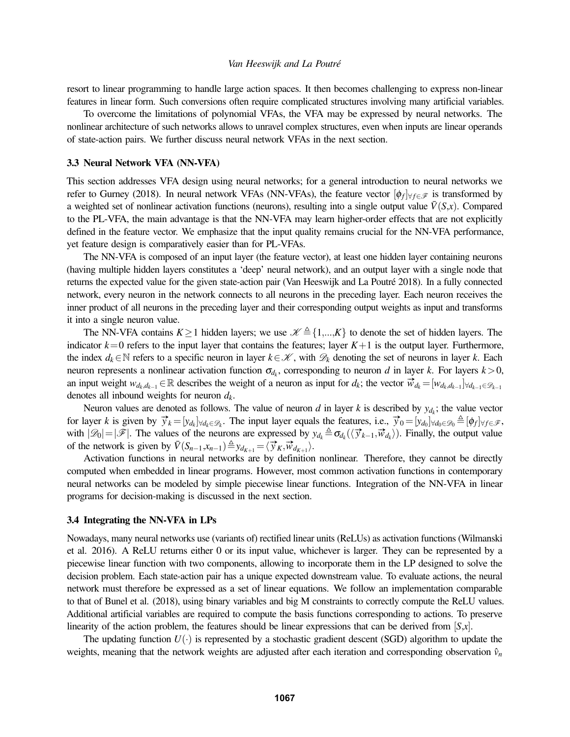resort to linear programming to handle large action spaces. It then becomes challenging to express non-linear features in linear form. Such conversions often require complicated structures involving many artificial variables.

To overcome the limitations of polynomial VFAs, the VFA may be expressed by neural networks. The nonlinear architecture of such networks allows to unravel complex structures, even when inputs are linear operands of state-action pairs. We further discuss neural network VFAs in the next section.

## 3.3 Neural Network VFA (NN-VFA)

This section addresses VFA design using neural networks; for a general introduction to neural networks we refer to [Gurney \(2018\).](#page-11-11) In neural network VFAs (NN-VFAs), the feature vector  $[\phi_f]_{\forall f \in \mathscr{F}}$  is transformed by a weighted set of nonlinear activation functions (neurons), resulting into a single output value  $\bar{V}(S,x)$ . Compared to the PL-VFA, the main advantage is that the NN-VFA may learn higher-order effects that are not explicitly defined in the feature vector. We emphasize that the input quality remains crucial for the NN-VFA performance, yet feature design is comparatively easier than for PL-VFAs.

The NN-VFA is composed of an input layer (the feature vector), at least one hidden layer containing neurons (having multiple hidden layers constitutes a 'deep' neural network), and an output layer with a single node that returns the expected value for the given state-action pair [\(Van Heeswijk and La Poutré 2018\)](#page-11-12). In a fully connected network, every neuron in the network connects to all neurons in the preceding layer. Each neuron receives the inner product of all neurons in the preceding layer and their corresponding output weights as input and transforms it into a single neuron value.

The NN-VFA contains  $K \ge 1$  hidden layers; we use  $\mathcal{K} \triangleq \{1,...,K\}$  to denote the set of hidden layers. The indicator  $k=0$  refers to the input layer that contains the features; layer  $K+1$  is the output layer. Furthermore, the index  $d_k \in \mathbb{N}$  refers to a specific neuron in layer  $k \in \mathcal{K}$ , with  $\mathcal{D}_k$  denoting the set of neurons in layer k. Each neuron represents a nonlinear activation function  $\sigma_{d_k}$ , corresponding to neuron *d* in layer *k*. For layers  $k > 0$ , an input weight  $w_{d_k,d_{k-1}} \in \mathbb{R}$  describes the weight of a neuron as input for  $d_k$ ; the vector  $\vec{w}_{d_k} = [w_{d_k,d_{k-1}}] \forall d_{k-1} \in \mathbb{R}$ denotes all inbound weights for neuron *dk*.

Neuron values are denoted as follows. The value of neuron *d* in layer *k* is described by  $y_{d_k}$ ; the value vector for layer k is given by  $\vec{y}_k = [y_{d_k}]_{\forall d_k \in \mathcal{D}_k}$ . The input layer equals the features, i.e.,  $\vec{y}_0 = [y_{d_0}]_{\forall d_0 \in \mathcal{D}_0} \triangleq [\phi_f]_{\forall f \in \mathcal{F}}$ , with  $|\mathscr{D}_0| = |\mathscr{F}|$ . The values of the neurons are expressed by  $y_{d_k} \triangleq \sigma_{d_k}(\langle \vec{y}_{k-1}, \vec{w}_{d_k} \rangle)$ . Finally, the output value of the network is given by  $\bar{V}(S_{n-1}, x_{n-1}) \triangleq y_{d_{K+1}} = \langle \vec{y}_K, \vec{w}_{d_{K+1}} \rangle$ .

Activation functions in neural networks are by definition nonlinear. Therefore, they cannot be directly computed when embedded in linear programs. However, most common activation functions in contemporary neural networks can be modeled by simple piecewise linear functions. Integration of the NN-VFA in linear programs for decision-making is discussed in the next section.

#### 3.4 Integrating the NN-VFA in LPs

Nowadays, many neural networks use (variants of) rectified linear units (ReLUs) as activation functions [\(Wilmanski](#page-11-13) [et al. 2016\)](#page-11-13). A ReLU returns either 0 or its input value, whichever is larger. They can be represented by a piecewise linear function with two components, allowing to incorporate them in the LP designed to solve the decision problem. Each state-action pair has a unique expected downstream value. To evaluate actions, the neural network must therefore be expressed as a set of linear equations. We follow an implementation comparable to that of [Bunel et al. \(2018\),](#page-10-6) using binary variables and big M constraints to correctly compute the ReLU values. Additional artificial variables are required to compute the basis functions corresponding to actions. To preserve linearity of the action problem, the features should be linear expressions that can be derived from [*S*,*x*].

The updating function  $U(\cdot)$  is represented by a stochastic gradient descent (SGD) algorithm to update the weights, meaning that the network weights are adjusted after each iteration and corresponding observation  $\hat{v}_n$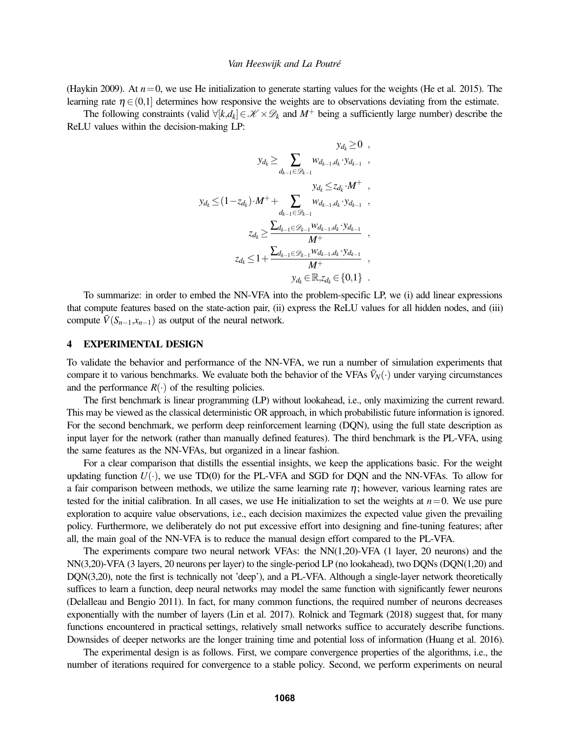[\(Haykin 2009\)](#page-11-14). At  $n=0$ , we use He initialization to generate starting values for the weights [\(He et al. 2015\)](#page-11-15). The learning rate  $\eta \in (0,1]$  determines how responsive the weights are to observations deviating from the estimate.

The following constraints (valid  $\forall [k,d_k] \in \mathcal{K} \times \mathcal{D}_k$  and  $M^+$  being a sufficiently large number) describe the ReLU values within the decision-making LP:

$$
y_{d_k} \geq \sum_{d_{k-1} \in \mathcal{D}_{k-1}} w_{d_{k-1}, d_k} \cdot y_{d_{k-1}} ,
$$
  
\n
$$
y_{d_k} \leq (1 - z_{d_k}) \cdot M^+ + \sum_{d_{k-1} \in \mathcal{D}_{k-1}} w_{d_{k-1}, d_k} \cdot y_{d_{k-1}} ,
$$
  
\n
$$
z_{d_k} \geq \frac{\sum_{d_{k-1} \in \mathcal{D}_{k-1}} w_{d_{k-1}, d_k} \cdot y_{d_{k-1}}}{M^+} ,
$$
  
\n
$$
z_{d_k} \leq 1 + \frac{\sum_{d_{k-1} \in \mathcal{D}_{k-1}} w_{d_{k-1}, d_k} \cdot y_{d_{k-1}}}{M^+} ,
$$
  
\n
$$
y_{d_k} \in \mathbb{R}, z_{d_k} \in \{0, 1\} .
$$

To summarize: in order to embed the NN-VFA into the problem-specific LP, we (i) add linear expressions that compute features based on the state-action pair, (ii) express the ReLU values for all hidden nodes, and (iii) compute  $\bar{V}(S_{n-1},x_{n-1})$  as output of the neural network.

## 4 EXPERIMENTAL DESIGN

To validate the behavior and performance of the NN-VFA, we run a number of simulation experiments that compare it to various benchmarks. We evaluate both the behavior of the VFAs  $\bar{V}_N(\cdot)$  under varying circumstances and the performance  $R(\cdot)$  of the resulting policies.

The first benchmark is linear programming (LP) without lookahead, i.e., only maximizing the current reward. This may be viewed as the classical deterministic OR approach, in which probabilistic future information is ignored. For the second benchmark, we perform deep reinforcement learning (DQN), using the full state description as input layer for the network (rather than manually defined features). The third benchmark is the PL-VFA, using the same features as the NN-VFAs, but organized in a linear fashion.

For a clear comparison that distills the essential insights, we keep the applications basic. For the weight updating function  $U(\cdot)$ , we use TD(0) for the PL-VFA and SGD for DQN and the NN-VFAs. To allow for a fair comparison between methods, we utilize the same learning rate  $\eta$ ; however, various learning rates are tested for the initial calibration. In all cases, we use He initialization to set the weights at  $n=0$ . We use pure exploration to acquire value observations, i.e., each decision maximizes the expected value given the prevailing policy. Furthermore, we deliberately do not put excessive effort into designing and fine-tuning features; after all, the main goal of the NN-VFA is to reduce the manual design effort compared to the PL-VFA.

The experiments compare two neural network VFAs: the NN(1,20)-VFA (1 layer, 20 neurons) and the NN(3,20)-VFA (3 layers, 20 neurons per layer) to the single-period LP (no lookahead), two DQNs (DQN(1,20) and DQN(3,20), note the first is technically not 'deep'), and a PL-VFA. Although a single-layer network theoretically suffices to learn a function, deep neural networks may model the same function with significantly fewer neurons [\(Delalleau and Bengio 2011\)](#page-10-7). In fact, for many common functions, the required number of neurons decreases exponentially with the number of layers [\(Lin et al. 2017\)](#page-11-16). [Rolnick and Tegmark \(2018\)](#page-11-17) suggest that, for many functions encountered in practical settings, relatively small networks suffice to accurately describe functions. Downsides of deeper networks are the longer training time and potential loss of information [\(Huang et al. 2016\)](#page-11-18).

The experimental design is as follows. First, we compare convergence properties of the algorithms, i.e., the number of iterations required for convergence to a stable policy. Second, we perform experiments on neural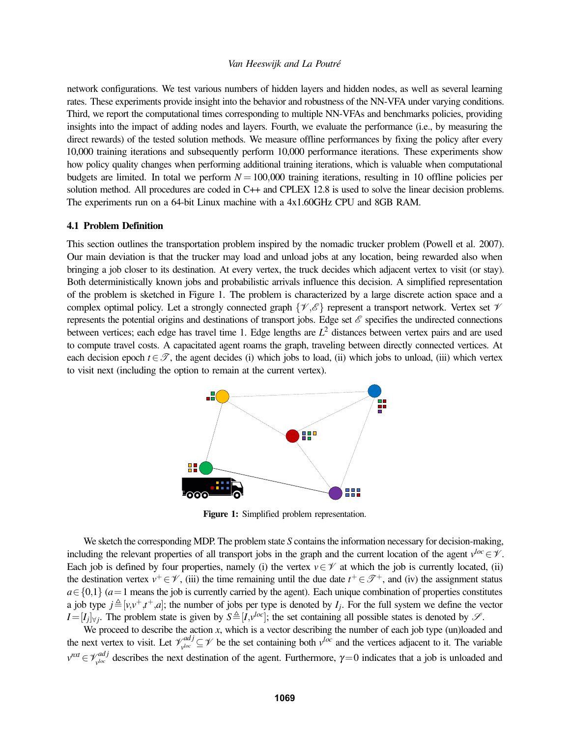network configurations. We test various numbers of hidden layers and hidden nodes, as well as several learning rates. These experiments provide insight into the behavior and robustness of the NN-VFA under varying conditions. Third, we report the computational times corresponding to multiple NN-VFAs and benchmarks policies, providing insights into the impact of adding nodes and layers. Fourth, we evaluate the performance (i.e., by measuring the direct rewards) of the tested solution methods. We measure offline performances by fixing the policy after every 10,000 training iterations and subsequently perform 10,000 performance iterations. These experiments show how policy quality changes when performing additional training iterations, which is valuable when computational budgets are limited. In total we perform  $N = 100,000$  training iterations, resulting in 10 offline policies per solution method. All procedures are coded in C++ and CPLEX 12.8 is used to solve the linear decision problems. The experiments run on a 64-bit Linux machine with a 4x1.60GHz CPU and 8GB RAM.

## 4.1 Problem Definition

This section outlines the transportation problem inspired by the nomadic trucker problem [\(Powell et al. 2007\)](#page-11-19). Our main deviation is that the trucker may load and unload jobs at any location, being rewarded also when bringing a job closer to its destination. At every vertex, the truck decides which adjacent vertex to visit (or stay). Both deterministically known jobs and probabilistic arrivals influence this decision. A simplified representation of the problem is sketched in Figure [1.](#page-6-0) The problem is characterized by a large discrete action space and a complex optimal policy. Let a strongly connected graph  $\{\mathcal{V}, \mathcal{E}\}$  represent a transport network. Vertex set  $\mathcal{V}$ represents the potential origins and destinations of transport jobs. Edge set  $\mathscr E$  specifies the undirected connections between vertices; each edge has travel time 1. Edge lengths are *L* <sup>2</sup> distances between vertex pairs and are used to compute travel costs. A capacitated agent roams the graph, traveling between directly connected vertices. At each decision epoch  $t \in \mathcal{T}$ , the agent decides (i) which jobs to load, (ii) which jobs to unload, (iii) which vertex to visit next (including the option to remain at the current vertex).

<span id="page-6-0"></span>

Figure 1: Simplified problem representation.

We sketch the corresponding MDP. The problem state *S* contains the information necessary for decision-making, including the relevant properties of all transport jobs in the graph and the current location of the agent  $v^{loc} \in \mathcal{V}$ . Each job is defined by four properties, namely (i) the vertex  $v \in V$  at which the job is currently located, (ii) the destination vertex  $v^+ \in \mathcal{V}$ , (iii) the time remaining until the due date  $t^+ \in \mathcal{F}^+$ , and (iv) the assignment status *a*∈{0,1} (*a*=1 means the job is currently carried by the agent). Each unique combination of properties constitutes a job type  $j \triangleq [v, v^+, t^+, a]$ ; the number of jobs per type is denoted by  $I_j$ . For the full system we define the vector  $I=[I_j]_{\forall j}$ . The problem state is given by  $S \triangleq [I, v^{loc}]$ ; the set containing all possible states is denoted by  $\mathscr{S}$ .

We proceed to describe the action *x*, which is a vector describing the number of each job type (un)loaded and the next vertex to visit. Let  $\mathcal{V}_{\mathit{yloc}}^{adj}$  $\chi^{adj}_{\nu^{loc}}$  ⊆  $\mathcal V$  be the set containing both  $\nu^{loc}$  and the vertices adjacent to it. The variable  $v^{nxt} \in \mathcal{V}_{\nu}^{adj}$  $\gamma_{\text{ploc}}^{adj}$  describes the next destination of the agent. Furthermore,  $\gamma=0$  indicates that a job is unloaded and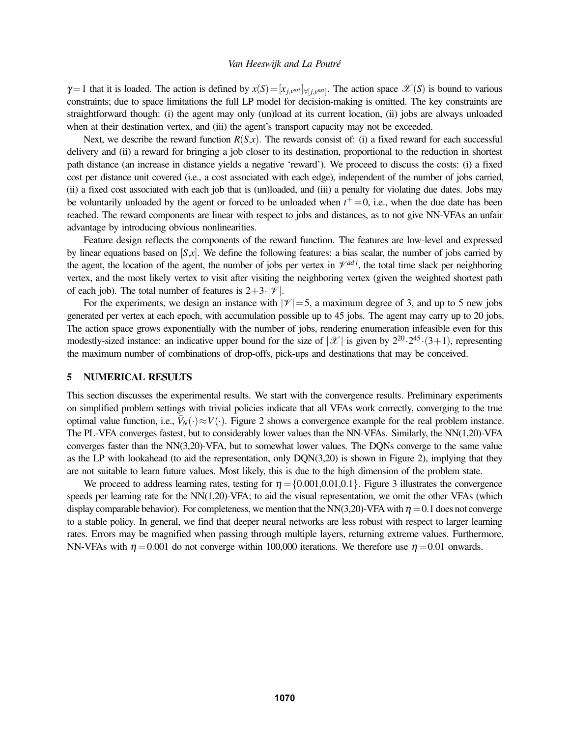$\gamma=1$  that it is loaded. The action is defined by  $x(S)=[x_{j,y}^{max}]_{\forall [j,y^{max}]}$ . The action space  $\mathscr{X}(S)$  is bound to various constraints; due to space limitations the full LP model for decision-making is omitted. The key constraints are straightforward though: (i) the agent may only (un)load at its current location, (ii) jobs are always unloaded when at their destination vertex, and (iii) the agent's transport capacity may not be exceeded.

Next, we describe the reward function  $R(S,x)$ . The rewards consist of: (i) a fixed reward for each successful delivery and (ii) a reward for bringing a job closer to its destination, proportional to the reduction in shortest path distance (an increase in distance yields a negative 'reward'). We proceed to discuss the costs: (i) a fixed cost per distance unit covered (i.e., a cost associated with each edge), independent of the number of jobs carried, (ii) a fixed cost associated with each job that is (un)loaded, and (iii) a penalty for violating due dates. Jobs may be voluntarily unloaded by the agent or forced to be unloaded when  $t^+=0$ , i.e., when the due date has been reached. The reward components are linear with respect to jobs and distances, as to not give NN-VFAs an unfair advantage by introducing obvious nonlinearities.

Feature design reflects the components of the reward function. The features are low-level and expressed by linear equations based on  $[S,x]$ . We define the following features: a bias scalar, the number of jobs carried by the agent, the location of the agent, the number of jobs per vertex in  $\mathcal{V}^{adj}$ , the total time slack per neighboring vertex, and the most likely vertex to visit after visiting the neighboring vertex (given the weighted shortest path of each job). The total number of features is  $2+3\cdot|\mathcal{V}|$ .

For the experiments, we design an instance with  $|\mathcal{V}| = 5$ , a maximum degree of 3, and up to 5 new jobs generated per vertex at each epoch, with accumulation possible up to 45 jobs. The agent may carry up to 20 jobs. The action space grows exponentially with the number of jobs, rendering enumeration infeasible even for this modestly-sized instance: an indicative upper bound for the size of  $|\mathscr{X}|$  is given by  $2^{20} \cdot 2^{45} \cdot (3+1)$ , representing the maximum number of combinations of drop-offs, pick-ups and destinations that may be conceived.

#### 5 NUMERICAL RESULTS

This section discusses the experimental results. We start with the convergence results. Preliminary experiments on simplified problem settings with trivial policies indicate that all VFAs work correctly, converging to the true optimal value function, i.e.,  $\bar{V}_N(\cdot) \approx V(\cdot)$ . Figure [2](#page-8-0) shows a convergence example for the real problem instance. The PL-VFA converges fastest, but to considerably lower values than the NN-VFAs. Similarly, the NN(1,20)-VFA converges faster than the NN(3,20)-VFA, but to somewhat lower values. The DQNs converge to the same value as the LP with lookahead (to aid the representation, only DQN(3,20) is shown in Figure [2\)](#page-8-0), implying that they are not suitable to learn future values. Most likely, this is due to the high dimension of the problem state.

We proceed to address learning rates, testing for  $\eta = \{0.001, 0.01, 0.1\}$ . Figure [3](#page-8-1) illustrates the convergence speeds per learning rate for the NN(1,20)-VFA; to aid the visual representation, we omit the other VFAs (which display comparable behavior). For completeness, we mention that the NN(3,20)-VFA with  $\eta = 0.1$  does not converge to a stable policy. In general, we find that deeper neural networks are less robust with respect to larger learning rates. Errors may be magnified when passing through multiple layers, returning extreme values. Furthermore, NN-VFAs with  $\eta = 0.001$  do not converge within 100,000 iterations. We therefore use  $\eta = 0.01$  onwards.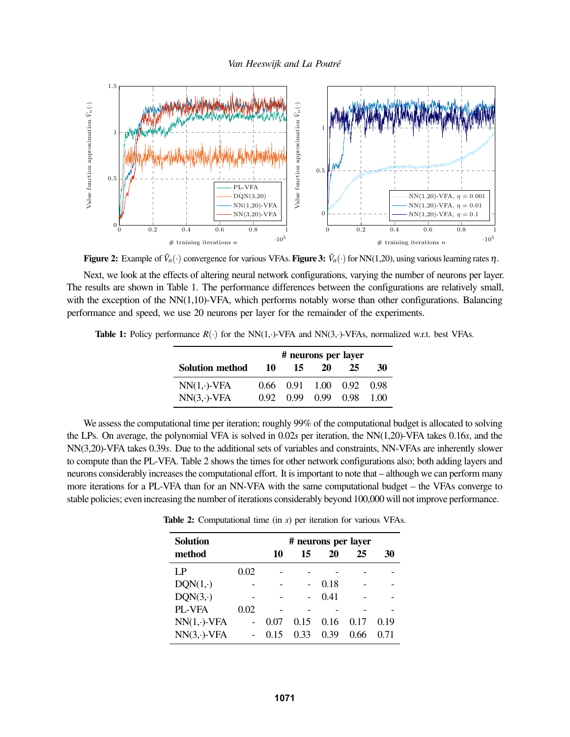

<span id="page-8-0"></span>Figure 2: Example of  $\bar{V}_n(\cdot)$  convergence for various VFAs. Figure 3:  $\bar{V}_n(\cdot)$  for NN(1,20), using various learning rates  $\eta$ .

Next, we look at the effects of altering neural network configurations, varying the number of neurons per layer. The results are shown in Table [1.](#page-8-2) The performance differences between the configurations are relatively small, with the exception of the  $NN(1,10)$ -VFA, which performs notably worse than other configurations. Balancing performance and speed, we use 20 neurons per layer for the remainder of the experiments.

<span id="page-8-2"></span>**Table 1:** Policy performance  $R(\cdot)$  for the NN(1,·)-VFA and NN(3,·)-VFAs, normalized w.r.t. best VFAs.

<span id="page-8-1"></span>

|                     | # neurons per layer |      |                          |    |      |
|---------------------|---------------------|------|--------------------------|----|------|
| Solution method     | 10                  | 15   | 20                       | 25 | 30   |
| $NN(1, \cdot)$ -VFA |                     |      | 0.66 0.91 1.00 0.92 0.98 |    |      |
| $NN(3, \cdot)$ -VFA | 0.92                | O 99 | 0.99 0.98                |    | 1.00 |

<span id="page-8-3"></span>We assess the computational time per iteration; roughly 99% of the computational budget is allocated to solving the LPs. On average, the polynomial VFA is solved in 0.02*s* per iteration, the NN(1,20)-VFA takes 0.16*s*, and the NN(3,20)-VFA takes 0.39*s*. Due to the additional sets of variables and constraints, NN-VFAs are inherently slower to compute than the PL-VFA. Table [2](#page-8-3) shows the times for other network configurations also; both adding layers and neurons considerably increases the computational effort. It is important to note that – although we can perform many more iterations for a PL-VFA than for an NN-VFA with the same computational budget – the VFAs converge to stable policies; even increasing the number of iterations considerably beyond 100,000 will not improve performance.

| <b>Solution</b>     |                          | # neurons per layer |      |      |      |      |
|---------------------|--------------------------|---------------------|------|------|------|------|
| method              |                          | 10                  | 15   | 20   | 25   | 30   |
| LP                  | 0.02                     |                     |      |      |      |      |
| $DQN(1,\cdot)$      |                          |                     |      | 0.18 |      |      |
| DQN(3,·)            |                          |                     |      | 0.41 |      |      |
| PL-VFA              | 0.02                     |                     |      |      |      |      |
| $NN(1, \cdot)$ -VFA | $\overline{\phantom{0}}$ | 0.07                | 0.15 | 0.16 | 0.17 | 0.19 |
| $NN(3, \cdot)$ -VFA |                          | 0.15                | 0.33 | 0.39 | 0.66 | 0.71 |

Table 2: Computational time (in *s*) per iteration for various VFAs.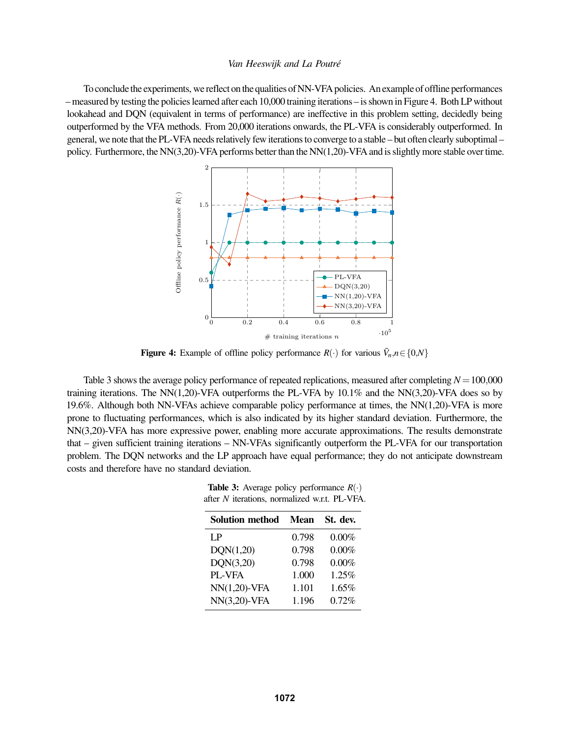<span id="page-9-0"></span>To conclude the experiments, we reflect on the qualities of NN-VFA policies. An example of offline performances – measured by testing the policies learned after each 10,000 training iterations – is shown in Figure [4.](#page-9-0) Both LP without lookahead and DQN (equivalent in terms of performance) are ineffective in this problem setting, decidedly being outperformed by the VFA methods. From 20,000 iterations onwards, the PL-VFA is considerably outperformed. In general, we note that the PL-VFA needs relatively few iterations to converge to a stable – but often clearly suboptimal – policy. Furthermore, the NN(3,20)-VFA performs better than the NN(1,20)-VFA and is slightly more stable over time.



**Figure 4:** Example of offline policy performance  $R(\cdot)$  for various  $\bar{V}_n, n \in \{0, N\}$ 

<span id="page-9-1"></span>Table [3](#page-9-1) shows the average policy performance of repeated replications, measured after completing  $N=100,000$ training iterations. The NN(1,20)-VFA outperforms the PL-VFA by  $10.1\%$  and the NN(3,20)-VFA does so by 19.6%. Although both NN-VFAs achieve comparable policy performance at times, the NN(1,20)-VFA is more prone to fluctuating performances, which is also indicated by its higher standard deviation. Furthermore, the NN(3,20)-VFA has more expressive power, enabling more accurate approximations. The results demonstrate that – given sufficient training iterations – NN-VFAs significantly outperform the PL-VFA for our transportation problem. The DQN networks and the LP approach have equal performance; they do not anticipate downstream costs and therefore have no standard deviation.

**Table 3:** Average policy performance  $R(\cdot)$ after *N* iterations, normalized w.r.t. PL-VFA.

| <b>Solution method</b> | <b>Mean</b> | St. dev. |
|------------------------|-------------|----------|
| LP.                    | 0.798       | 0.00%    |
| DON(1,20)              | 0.798       | 0.00%    |
| DON(3,20)              | 0.798       | 0.00%    |
| PL-VFA                 | 1.000       | 1.25%    |
| $NN(1,20)$ -VFA        | 1.101       | 1.65%    |
| $NN(3,20)$ -VFA        | 1.196       | 0.72%    |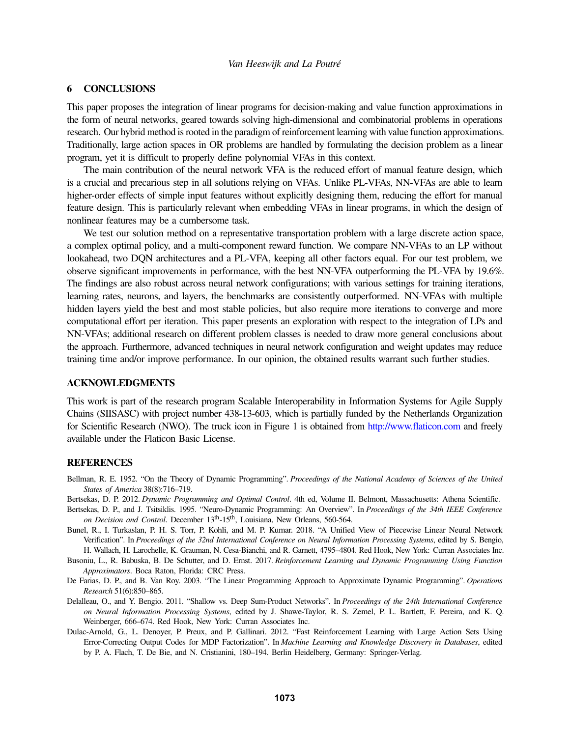# 6 CONCLUSIONS

This paper proposes the integration of linear programs for decision-making and value function approximations in the form of neural networks, geared towards solving high-dimensional and combinatorial problems in operations research. Our hybrid method is rooted in the paradigm of reinforcement learning with value function approximations. Traditionally, large action spaces in OR problems are handled by formulating the decision problem as a linear program, yet it is difficult to properly define polynomial VFAs in this context.

The main contribution of the neural network VFA is the reduced effort of manual feature design, which is a crucial and precarious step in all solutions relying on VFAs. Unlike PL-VFAs, NN-VFAs are able to learn higher-order effects of simple input features without explicitly designing them, reducing the effort for manual feature design. This is particularly relevant when embedding VFAs in linear programs, in which the design of nonlinear features may be a cumbersome task.

We test our solution method on a representative transportation problem with a large discrete action space, a complex optimal policy, and a multi-component reward function. We compare NN-VFAs to an LP without lookahead, two DQN architectures and a PL-VFA, keeping all other factors equal. For our test problem, we observe significant improvements in performance, with the best NN-VFA outperforming the PL-VFA by 19.6%. The findings are also robust across neural network configurations; with various settings for training iterations, learning rates, neurons, and layers, the benchmarks are consistently outperformed. NN-VFAs with multiple hidden layers yield the best and most stable policies, but also require more iterations to converge and more computational effort per iteration. This paper presents an exploration with respect to the integration of LPs and NN-VFAs; additional research on different problem classes is needed to draw more general conclusions about the approach. Furthermore, advanced techniques in neural network configuration and weight updates may reduce training time and/or improve performance. In our opinion, the obtained results warrant such further studies.

## ACKNOWLEDGMENTS

This work is part of the research program Scalable Interoperability in Information Systems for Agile Supply Chains (SIISASC) with project number 438-13-603, which is partially funded by the Netherlands Organization for Scientific Research (NWO). The truck icon in Figure [1](#page-6-0) is obtained from <http://www.flaticon.com> and freely available under the Flaticon Basic License.

# **REFERENCES**

- <span id="page-10-5"></span>Bellman, R. E. 1952. "On the Theory of Dynamic Programming". *Proceedings of the National Academy of Sciences of the United States of America* 38(8):716–719.
- <span id="page-10-3"></span>Bertsekas, D. P. 2012. *Dynamic Programming and Optimal Control*. 4th ed, Volume II. Belmont, Massachusetts: Athena Scientific.
- <span id="page-10-2"></span>Bertsekas, D. P., and J. Tsitsiklis. 1995. "Neuro-Dynamic Programming: An Overview". In *Proceedings of the 34th IEEE Conference on Decision and Control*. December 13th-15th, Louisiana, New Orleans, 560-564.
- <span id="page-10-6"></span>Bunel, R., I. Turkaslan, P. H. S. Torr, P. Kohli, and M. P. Kumar. 2018. "A Unified View of Piecewise Linear Neural Network Verification". In *Proceedings of the 32nd International Conference on Neural Information Processing Systems*, edited by S. Bengio, H. Wallach, H. Larochelle, K. Grauman, N. Cesa-Bianchi, and R. Garnett, 4795–4804. Red Hook, New York: Curran Associates Inc.
- <span id="page-10-0"></span>Busoniu, L., R. Babuska, B. De Schutter, and D. Ernst. 2017. *Reinforcement Learning and Dynamic Programming Using Function Approximators*. Boca Raton, Florida: CRC Press.
- <span id="page-10-4"></span>De Farias, D. P., and B. Van Roy. 2003. "The Linear Programming Approach to Approximate Dynamic Programming". *Operations Research* 51(6):850–865.
- <span id="page-10-7"></span>Delalleau, O., and Y. Bengio. 2011. "Shallow vs. Deep Sum-Product Networks". In *Proceedings of the 24th International Conference on Neural Information Processing Systems*, edited by J. Shawe-Taylor, R. S. Zemel, P. L. Bartlett, F. Pereira, and K. Q. Weinberger, 666–674. Red Hook, New York: Curran Associates Inc.
- <span id="page-10-1"></span>Dulac-Arnold, G., L. Denoyer, P. Preux, and P. Gallinari. 2012. "Fast Reinforcement Learning with Large Action Sets Using Error-Correcting Output Codes for MDP Factorization". In *Machine Learning and Knowledge Discovery in Databases*, edited by P. A. Flach, T. De Bie, and N. Cristianini, 180–194. Berlin Heidelberg, Germany: Springer-Verlag.